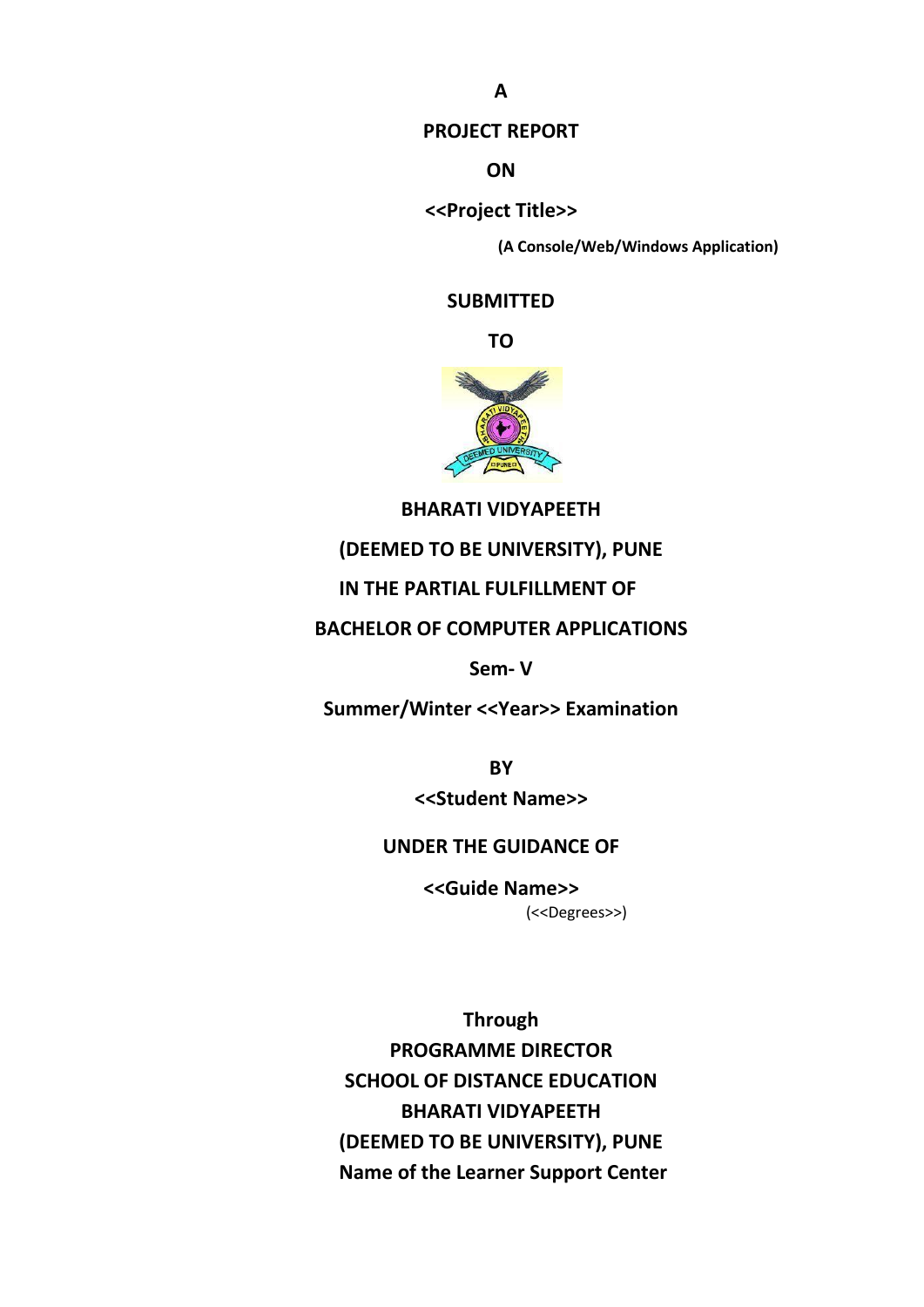#### **PROJECT REPORT**

**ON**

**<<Project Title>>**

**(A Console/Web/Windows Application)**

**SUBMITTED** 

**TO**



### **BHARATI VIDYAPEETH**

#### **(DEEMED TO BE UNIVERSITY), PUNE**

### **IN THE PARTIAL FULFILLMENT OF**

### **BACHELOR OF COMPUTER APPLICATIONS**

#### **Sem- V**

**Summer/Winter <<Year>> Examination**

**BY <<Student Name>>** 

#### **UNDER THE GUIDANCE OF**

**<<Guide Name>>** (<<Degrees>>)

**Through** 

**PROGRAMME DIRECTOR SCHOOL OF DISTANCE EDUCATION BHARATI VIDYAPEETH (DEEMED TO BE UNIVERSITY), PUNE Name of the Learner Support Center**

**A**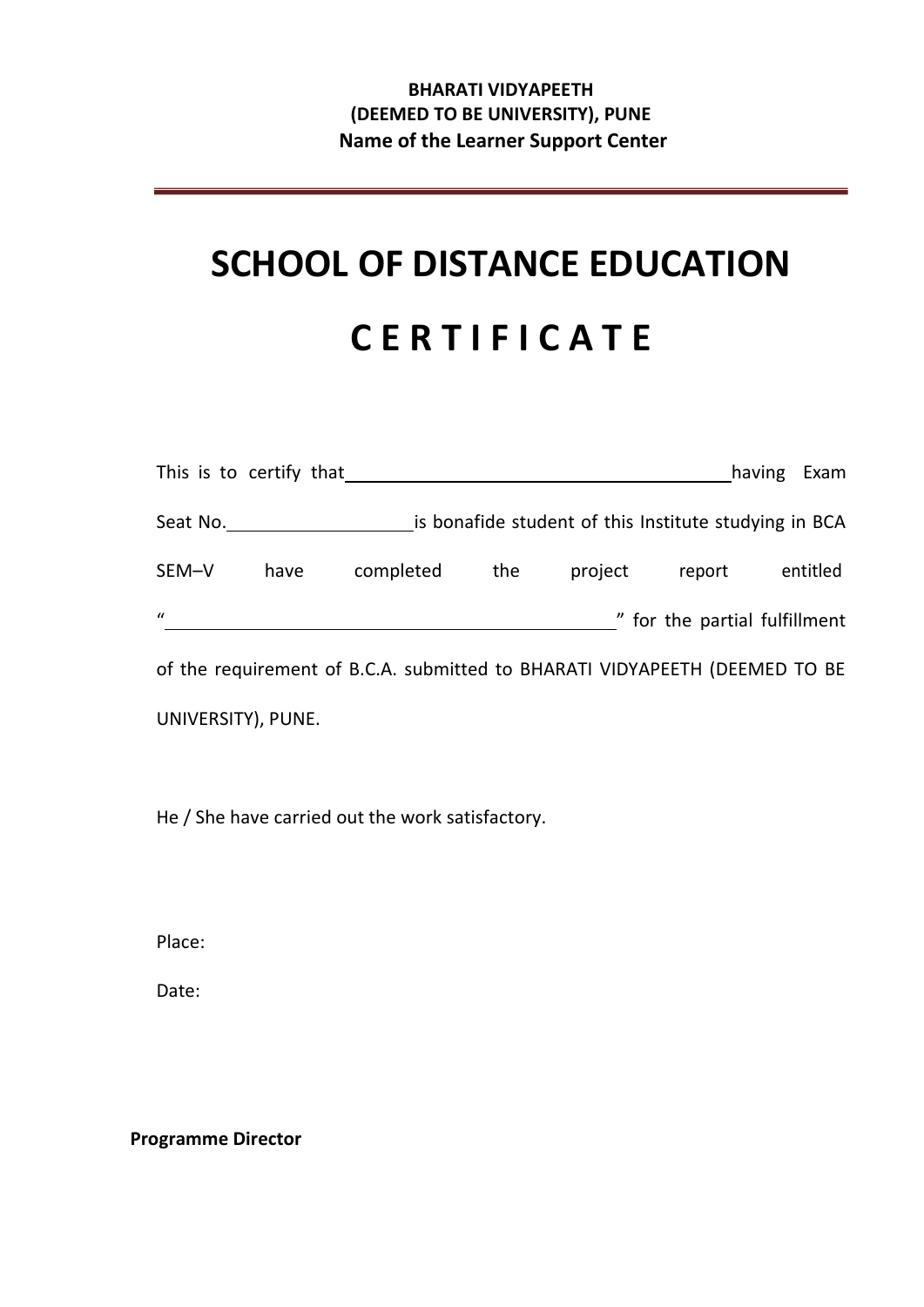## **BHARATI VIDYAPEETH (DEEMED TO BE UNIVERSITY), PUNE Name of the Learner Support Center**

# **SCHOOL OF DISTANCE EDUCATION C E R T I F I C A T E**

|                                                                            | This is to certify that |           |     |                                                       |                               | having | Exam     |
|----------------------------------------------------------------------------|-------------------------|-----------|-----|-------------------------------------------------------|-------------------------------|--------|----------|
| Seat No.                                                                   |                         |           |     | is bonafide student of this Institute studying in BCA |                               |        |          |
| SEM-V                                                                      | have                    | completed | the | project                                               | report                        |        | entitled |
| $\mathbf{u}$                                                               |                         |           |     |                                                       | " for the partial fulfillment |        |          |
| of the requirement of B.C.A. submitted to BHARATI VIDYAPEETH (DEEMED TO BE |                         |           |     |                                                       |                               |        |          |

UNIVERSITY), PUNE.

He / She have carried out the work satisfactory.

Place:

Date:

**Programme Director**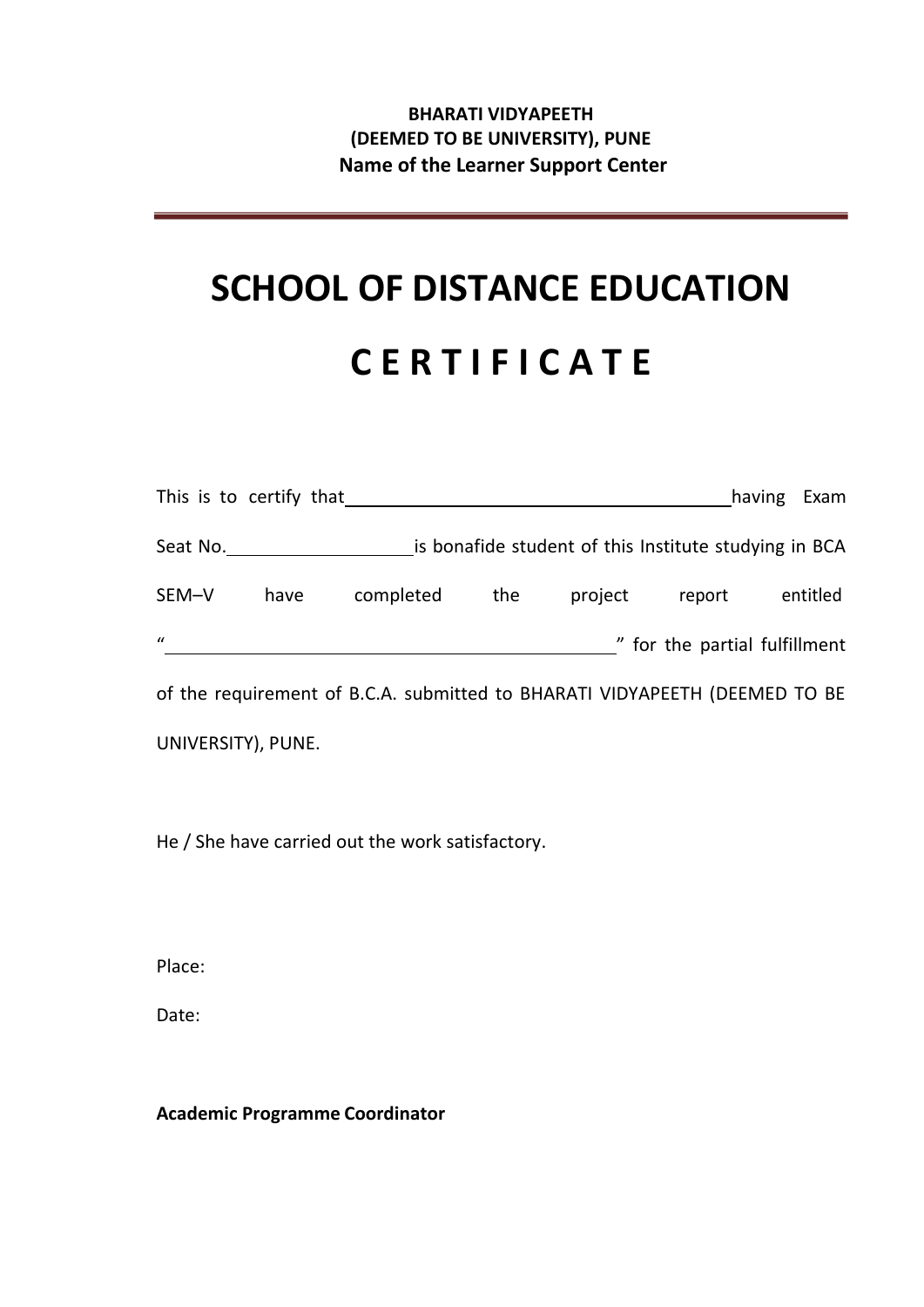## **BHARATI VIDYAPEETH (DEEMED TO BE UNIVERSITY), PUNE Name of the Learner Support Center**

# **SCHOOL OF DISTANCE EDUCATION C E R T I F I C A T E**

|              | This is to certify that |           |     |                                                       |                               | having<br>Exam |
|--------------|-------------------------|-----------|-----|-------------------------------------------------------|-------------------------------|----------------|
| Seat No.     |                         |           |     | is bonafide student of this Institute studying in BCA |                               |                |
| SEM-V        | have                    | completed | the | project                                               | report                        | entitled       |
| $\mathbf{u}$ |                         |           |     |                                                       | " for the partial fulfillment |                |

of the requirement of B.C.A. submitted to BHARATI VIDYAPEETH (DEEMED TO BE UNIVERSITY), PUNE.

He / She have carried out the work satisfactory.

Place:

Date:

**Academic Programme Coordinator**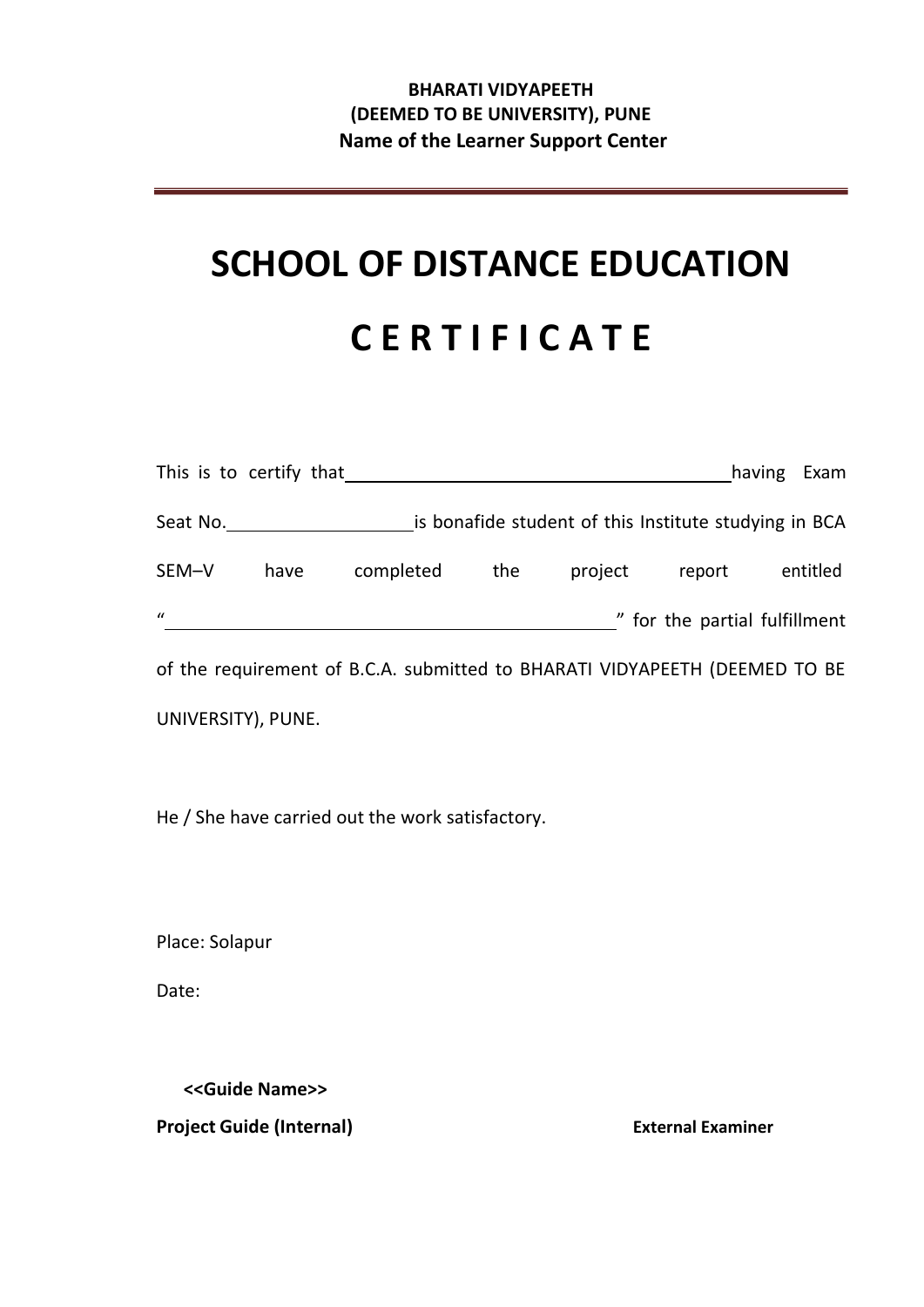## **BHARATI VIDYAPEETH (DEEMED TO BE UNIVERSITY), PUNE Name of the Learner Support Center**

# **SCHOOL OF DISTANCE EDUCATION C E R T I F I C A T E**

|              | This is to certify that |                                                                            |                                                       |         |                               | having | Exam     |
|--------------|-------------------------|----------------------------------------------------------------------------|-------------------------------------------------------|---------|-------------------------------|--------|----------|
| Seat No.     |                         |                                                                            | is bonafide student of this Institute studying in BCA |         |                               |        |          |
| SEM-V        | have                    | completed                                                                  | the                                                   | project | report                        |        | entitled |
| $\mathbf{u}$ |                         |                                                                            |                                                       |         | " for the partial fulfillment |        |          |
|              |                         | of the requirement of B.C.A. submitted to BHARATI VIDYAPEETH (DEEMED TO BE |                                                       |         |                               |        |          |

UNIVERSITY), PUNE.

He / She have carried out the work satisfactory.

Place: Solapur

Date:

**<<Guide Name>> Project Guide (Internal) External Examiner**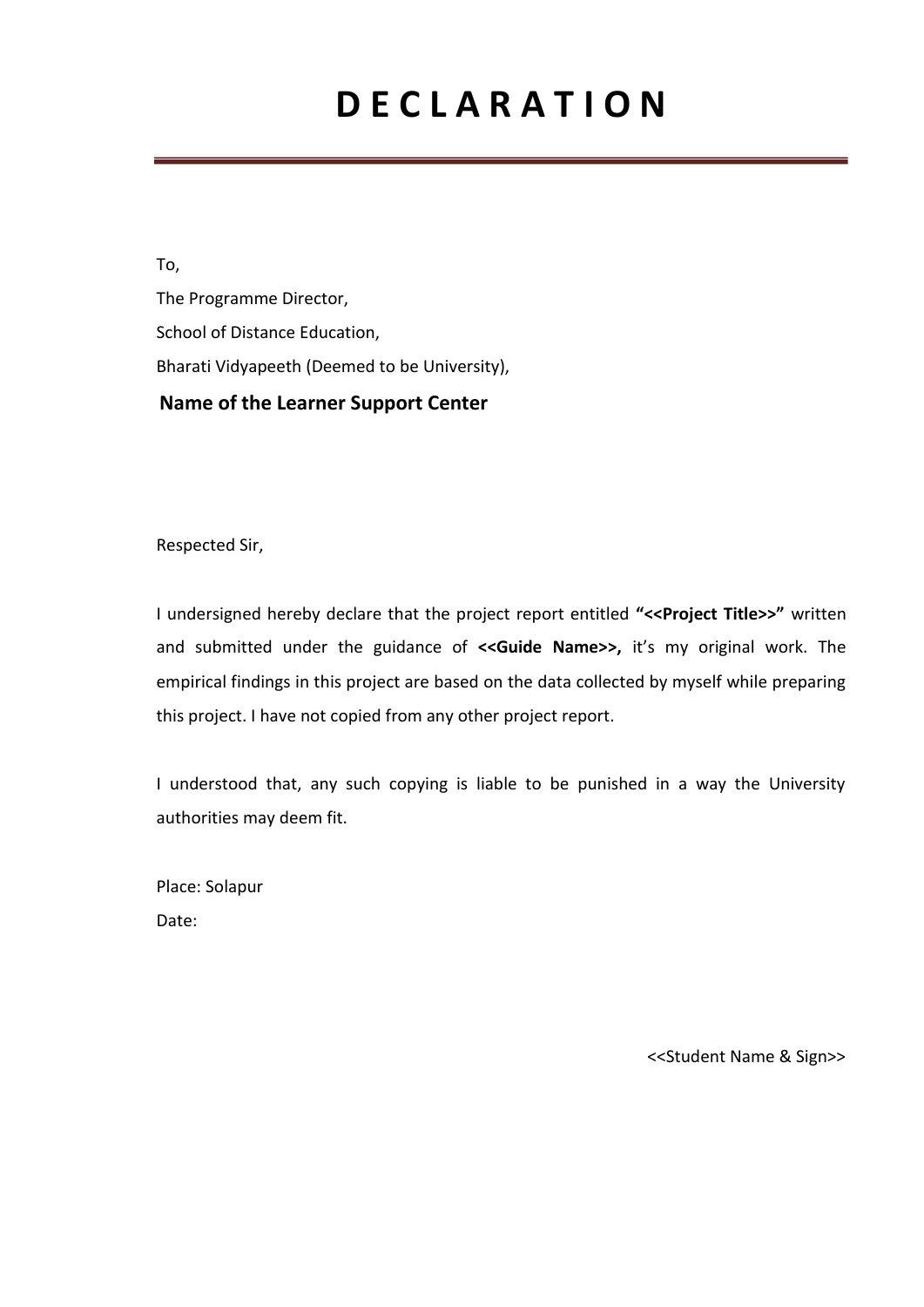# **D E C L A R A T I O N**

To, The Programme Director, School of Distance Education, Bharati Vidyapeeth (Deemed to be University),  **Name of the Learner Support Center**

Respected Sir,

I undersigned hereby declare that the project report entitled **"<<Project Title>>"** written and submitted under the guidance of **<<Guide Name>>,** it's my original work. The empirical findings in this project are based on the data collected by myself while preparing this project. I have not copied from any other project report.

I understood that, any such copying is liable to be punished in a way the University authorities may deem fit.

Place: Solapur Date:

<<Student Name & Sign>>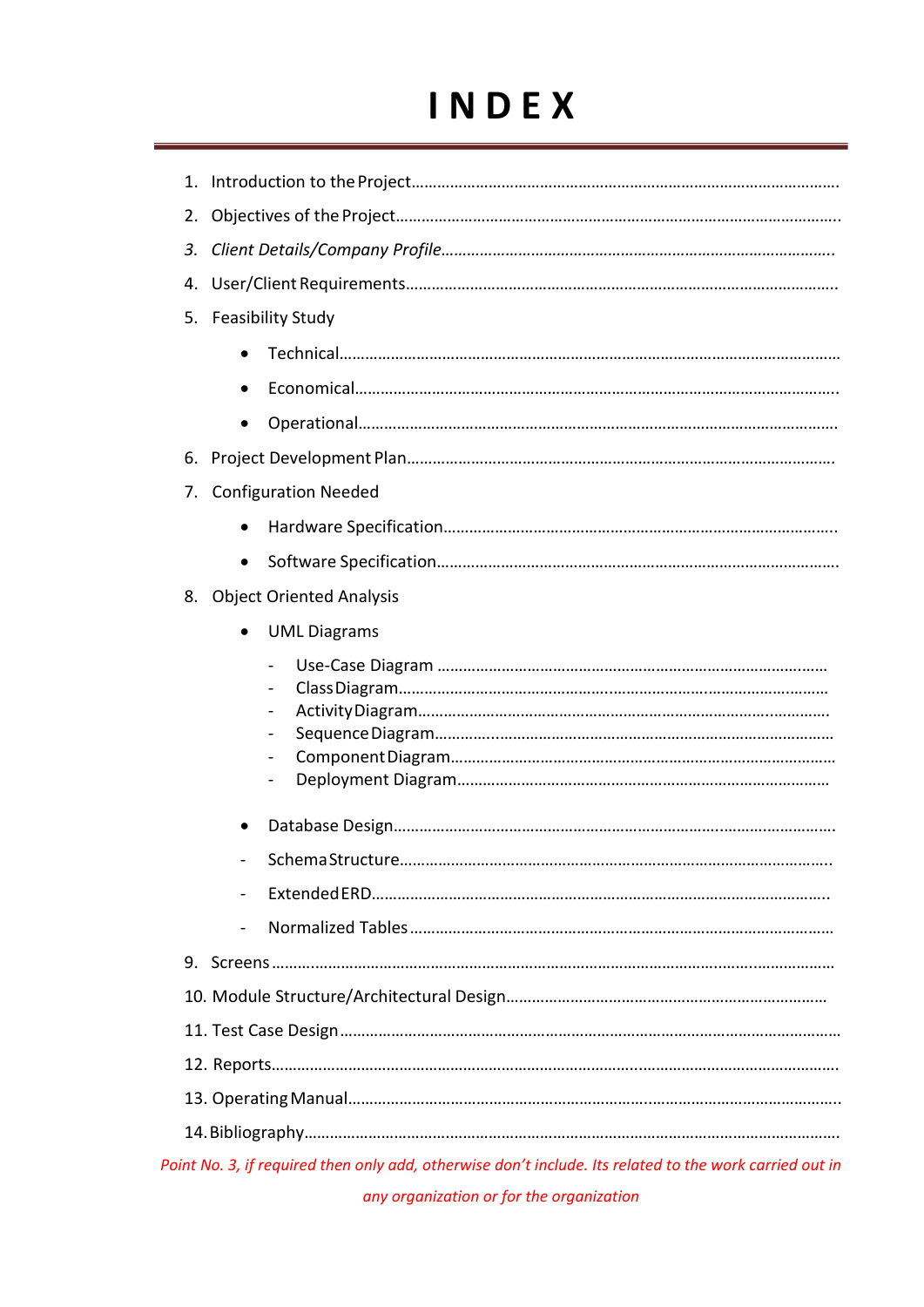# **I N D E X**

| 1.                                                                                                      |  |  |  |  |
|---------------------------------------------------------------------------------------------------------|--|--|--|--|
|                                                                                                         |  |  |  |  |
| 3.                                                                                                      |  |  |  |  |
| 4.                                                                                                      |  |  |  |  |
| 5. Feasibility Study                                                                                    |  |  |  |  |
|                                                                                                         |  |  |  |  |
|                                                                                                         |  |  |  |  |
| $\bullet$                                                                                               |  |  |  |  |
| 6.                                                                                                      |  |  |  |  |
| <b>Configuration Needed</b><br>7.                                                                       |  |  |  |  |
|                                                                                                         |  |  |  |  |
| $\bullet$                                                                                               |  |  |  |  |
| 8. Object Oriented Analysis                                                                             |  |  |  |  |
| <b>UML Diagrams</b>                                                                                     |  |  |  |  |
| $\overline{a}$<br>$\qquad \qquad \blacksquare$<br>$\qquad \qquad -$                                     |  |  |  |  |
|                                                                                                         |  |  |  |  |
| Schema Structure                                                                                        |  |  |  |  |
|                                                                                                         |  |  |  |  |
|                                                                                                         |  |  |  |  |
|                                                                                                         |  |  |  |  |
|                                                                                                         |  |  |  |  |
|                                                                                                         |  |  |  |  |
|                                                                                                         |  |  |  |  |
|                                                                                                         |  |  |  |  |
|                                                                                                         |  |  |  |  |
| Point No. 3, if required then only add, otherwise don't include. Its related to the work carried out in |  |  |  |  |

*any organization or for the organization*